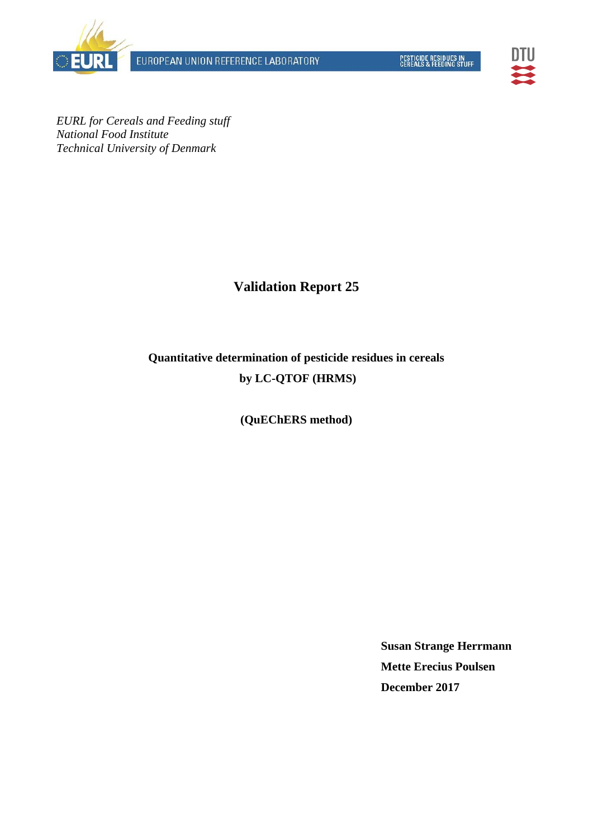EUROPEAN UNION REFERENCE LABORATORY





*EURL for Cereals and Feeding stuff National Food Institute Technical University of Denmark* 

## **Validation Report 25**

# **Quantitative determination of pesticide residues in cereals by LC-QTOF (HRMS)**

## **(QuEChERS method)**

**Susan Strange Herrmann Mette Erecius Poulsen December 2017**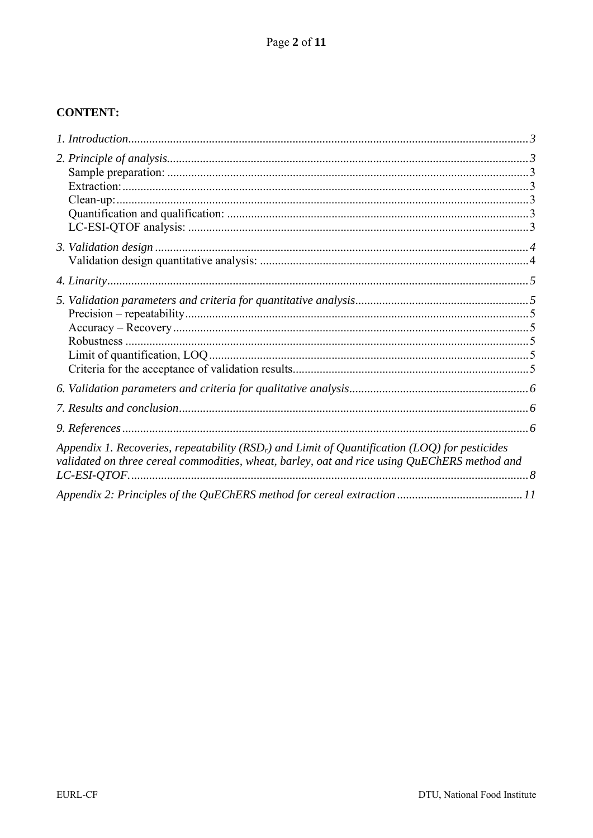## **CONTENT:**

| Appendix 1. Recoveries, repeatability ( $RSDr$ ) and Limit of Quantification (LOQ) for pesticides<br>validated on three cereal commodities, wheat, barley, oat and rice using QuEChERS method and |  |
|---------------------------------------------------------------------------------------------------------------------------------------------------------------------------------------------------|--|
|                                                                                                                                                                                                   |  |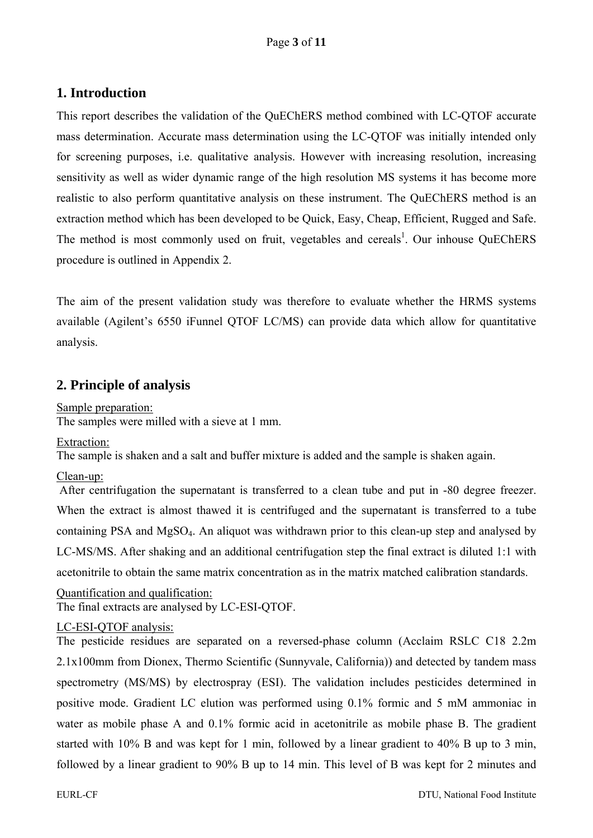## **1. Introduction**

This report describes the validation of the QuEChERS method combined with LC-QTOF accurate mass determination. Accurate mass determination using the LC-QTOF was initially intended only for screening purposes, i.e. qualitative analysis. However with increasing resolution, increasing sensitivity as well as wider dynamic range of the high resolution MS systems it has become more realistic to also perform quantitative analysis on these instrument. The QuEChERS method is an extraction method which has been developed to be Quick, Easy, Cheap, Efficient, Rugged and Safe. The method is most commonly used on fruit, vegetables and cereals<sup>1</sup>. Our inhouse QuEChERS procedure is outlined in Appendix 2.

The aim of the present validation study was therefore to evaluate whether the HRMS systems available (Agilent's 6550 iFunnel QTOF LC/MS) can provide data which allow for quantitative analysis.

## **2. Principle of analysis**

Sample preparation: The samples were milled with a sieve at 1 mm.

Extraction:

The sample is shaken and a salt and buffer mixture is added and the sample is shaken again.

#### Clean-up:

After centrifugation the supernatant is transferred to a clean tube and put in -80 degree freezer. When the extract is almost thawed it is centrifuged and the supernatant is transferred to a tube containing PSA and MgSO4. An aliquot was withdrawn prior to this clean-up step and analysed by LC-MS/MS. After shaking and an additional centrifugation step the final extract is diluted 1:1 with acetonitrile to obtain the same matrix concentration as in the matrix matched calibration standards.

Quantification and qualification: The final extracts are analysed by LC-ESI-QTOF.

## LC-ESI-QTOF analysis:

The pesticide residues are separated on a reversed-phase column (Acclaim RSLC C18 2.2m 2.1x100mm from Dionex, Thermo Scientific (Sunnyvale, California)) and detected by tandem mass spectrometry (MS/MS) by electrospray (ESI). The validation includes pesticides determined in positive mode. Gradient LC elution was performed using 0.1% formic and 5 mM ammoniac in water as mobile phase A and 0.1% formic acid in acetonitrile as mobile phase B. The gradient started with 10% B and was kept for 1 min, followed by a linear gradient to 40% B up to 3 min, followed by a linear gradient to 90% B up to 14 min. This level of B was kept for 2 minutes and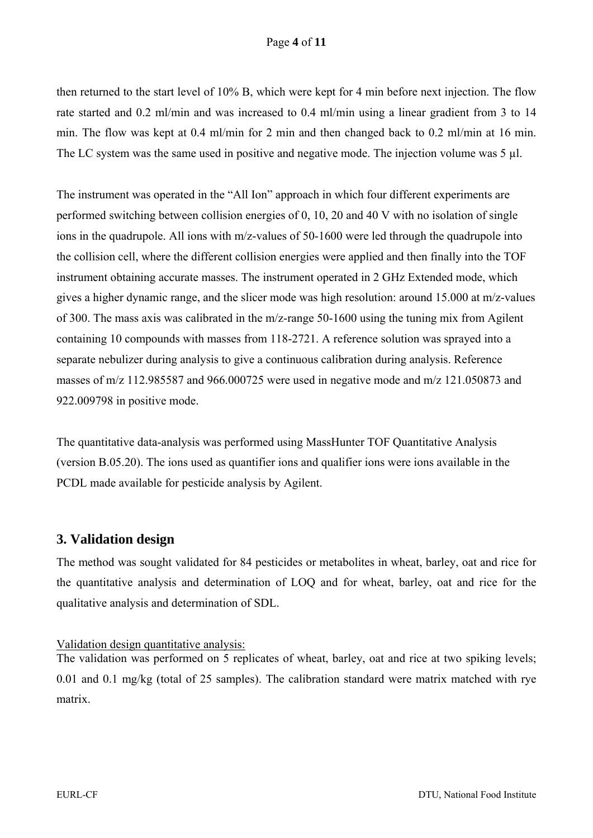#### Page **4** of **11**

then returned to the start level of 10% B, which were kept for 4 min before next injection. The flow rate started and 0.2 ml/min and was increased to 0.4 ml/min using a linear gradient from 3 to 14 min. The flow was kept at 0.4 ml/min for 2 min and then changed back to 0.2 ml/min at 16 min. The LC system was the same used in positive and negative mode. The injection volume was 5 µ.

The instrument was operated in the "All Ion" approach in which four different experiments are performed switching between collision energies of 0, 10, 20 and 40 V with no isolation of single ions in the quadrupole. All ions with m/z-values of 50-1600 were led through the quadrupole into the collision cell, where the different collision energies were applied and then finally into the TOF instrument obtaining accurate masses. The instrument operated in 2 GHz Extended mode, which gives a higher dynamic range, and the slicer mode was high resolution: around 15.000 at m/z-values of 300. The mass axis was calibrated in the m/z-range 50-1600 using the tuning mix from Agilent containing 10 compounds with masses from 118-2721. A reference solution was sprayed into a separate nebulizer during analysis to give a continuous calibration during analysis. Reference masses of m/z 112.985587 and 966.000725 were used in negative mode and m/z 121.050873 and 922.009798 in positive mode.

The quantitative data-analysis was performed using MassHunter TOF Quantitative Analysis (version B.05.20). The ions used as quantifier ions and qualifier ions were ions available in the PCDL made available for pesticide analysis by Agilent.

## **3. Validation design**

The method was sought validated for 84 pesticides or metabolites in wheat, barley, oat and rice for the quantitative analysis and determination of LOQ and for wheat, barley, oat and rice for the qualitative analysis and determination of SDL.

Validation design quantitative analysis:

The validation was performed on 5 replicates of wheat, barley, oat and rice at two spiking levels; 0.01 and 0.1 mg/kg (total of 25 samples). The calibration standard were matrix matched with rye matrix.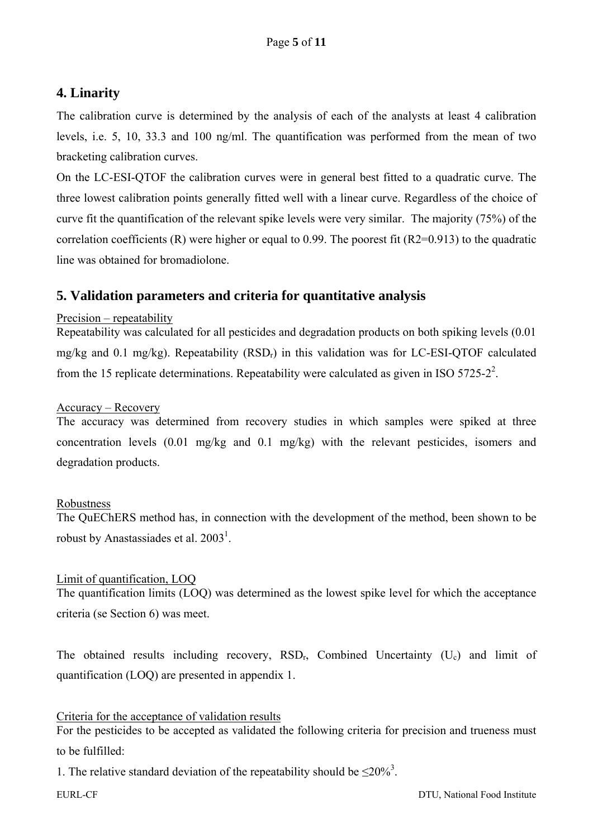## **4. Linarity**

The calibration curve is determined by the analysis of each of the analysts at least 4 calibration levels, i.e. 5, 10, 33.3 and 100 ng/ml. The quantification was performed from the mean of two bracketing calibration curves.

On the LC-ESI-QTOF the calibration curves were in general best fitted to a quadratic curve. The three lowest calibration points generally fitted well with a linear curve. Regardless of the choice of curve fit the quantification of the relevant spike levels were very similar. The majority (75%) of the correlation coefficients (R) were higher or equal to 0.99. The poorest fit (R2=0.913) to the quadratic line was obtained for bromadiolone.

## **5. Validation parameters and criteria for quantitative analysis**

#### Precision – repeatability

Repeatability was calculated for all pesticides and degradation products on both spiking levels (0.01 mg/kg and 0.1 mg/kg). Repeatability  $(RSD<sub>r</sub>)$  in this validation was for LC-ESI-QTOF calculated from the 15 replicate determinations. Repeatability were calculated as given in ISO 5725-2<sup>2</sup>.

#### Accuracy – Recovery

The accuracy was determined from recovery studies in which samples were spiked at three concentration levels (0.01 mg/kg and 0.1 mg/kg) with the relevant pesticides, isomers and degradation products.

#### Robustness

The QuEChERS method has, in connection with the development of the method, been shown to be robust by Anastassiades et al.  $2003<sup>1</sup>$ .

#### Limit of quantification, LOQ

The quantification limits (LOQ) was determined as the lowest spike level for which the acceptance criteria (se Section 6) was meet.

The obtained results including recovery,  $RSD<sub>r</sub>$ , Combined Uncertainty (U<sub>c</sub>) and limit of quantification (LOQ) are presented in appendix 1.

#### Criteria for the acceptance of validation results

For the pesticides to be accepted as validated the following criteria for precision and trueness must to be fulfilled:

1. The relative standard deviation of the repeatability should be  $\leq 20\%$ <sup>3</sup>.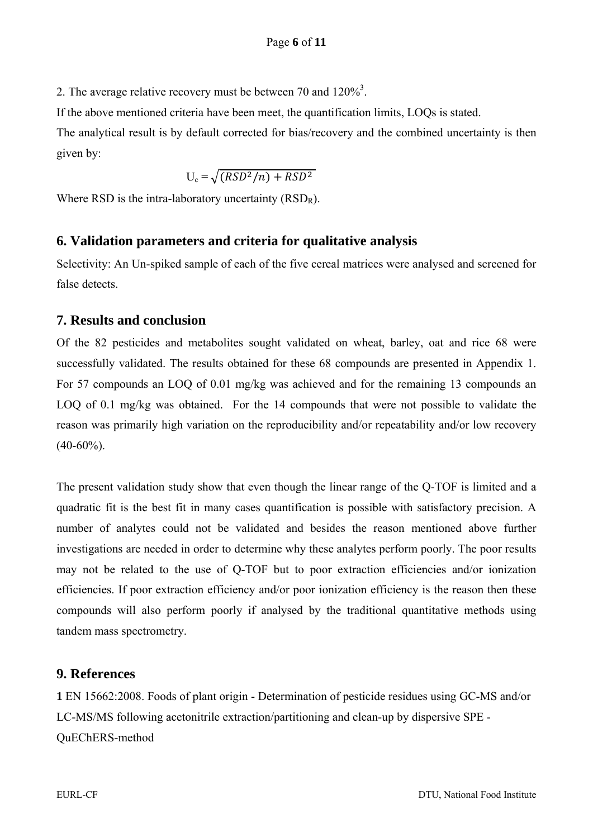2. The average relative recovery must be between 70 and  $120\%$ <sup>3</sup>.

If the above mentioned criteria have been meet, the quantification limits, LOQs is stated.

The analytical result is by default corrected for bias/recovery and the combined uncertainty is then given by:

$$
U_c = \sqrt{(RSD^2/n) + RSD^2}
$$

Where RSD is the intra-laboratory uncertainty  $(RSD<sub>R</sub>)$ .

## **6. Validation parameters and criteria for qualitative analysis**

Selectivity: An Un-spiked sample of each of the five cereal matrices were analysed and screened for false detects.

## **7. Results and conclusion**

Of the 82 pesticides and metabolites sought validated on wheat, barley, oat and rice 68 were successfully validated. The results obtained for these 68 compounds are presented in Appendix 1. For 57 compounds an LOQ of 0.01 mg/kg was achieved and for the remaining 13 compounds an LOQ of 0.1 mg/kg was obtained. For the 14 compounds that were not possible to validate the reason was primarily high variation on the reproducibility and/or repeatability and/or low recovery  $(40-60\%)$ .

The present validation study show that even though the linear range of the Q-TOF is limited and a quadratic fit is the best fit in many cases quantification is possible with satisfactory precision. A number of analytes could not be validated and besides the reason mentioned above further investigations are needed in order to determine why these analytes perform poorly. The poor results may not be related to the use of Q-TOF but to poor extraction efficiencies and/or ionization efficiencies. If poor extraction efficiency and/or poor ionization efficiency is the reason then these compounds will also perform poorly if analysed by the traditional quantitative methods using tandem mass spectrometry.

## **9. References**

**1** EN 15662:2008. Foods of plant origin - Determination of pesticide residues using GC-MS and/or LC-MS/MS following acetonitrile extraction/partitioning and clean-up by dispersive SPE - QuEChERS-method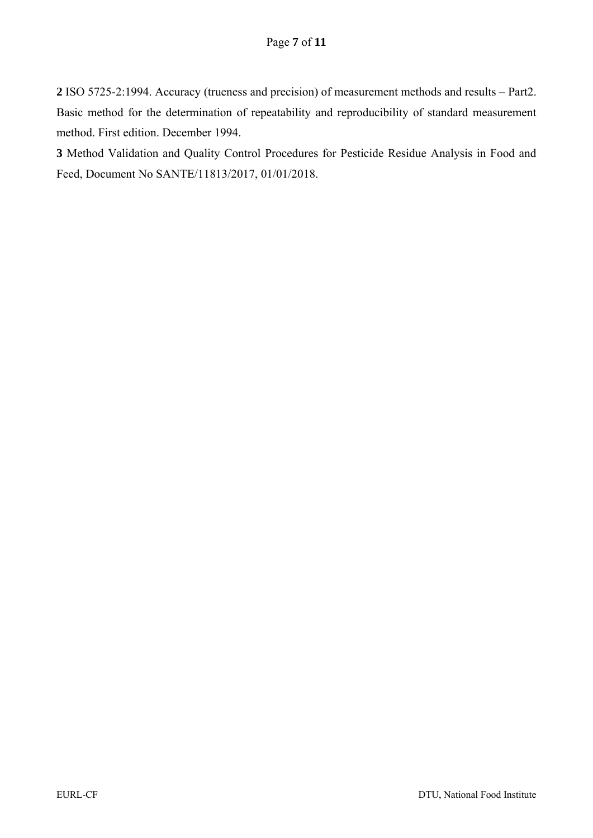**2** ISO 5725-2:1994. Accuracy (trueness and precision) of measurement methods and results – Part2. Basic method for the determination of repeatability and reproducibility of standard measurement method. First edition. December 1994.

**3** Method Validation and Quality Control Procedures for Pesticide Residue Analysis in Food and Feed, Document No SANTE/11813/2017, 01/01/2018.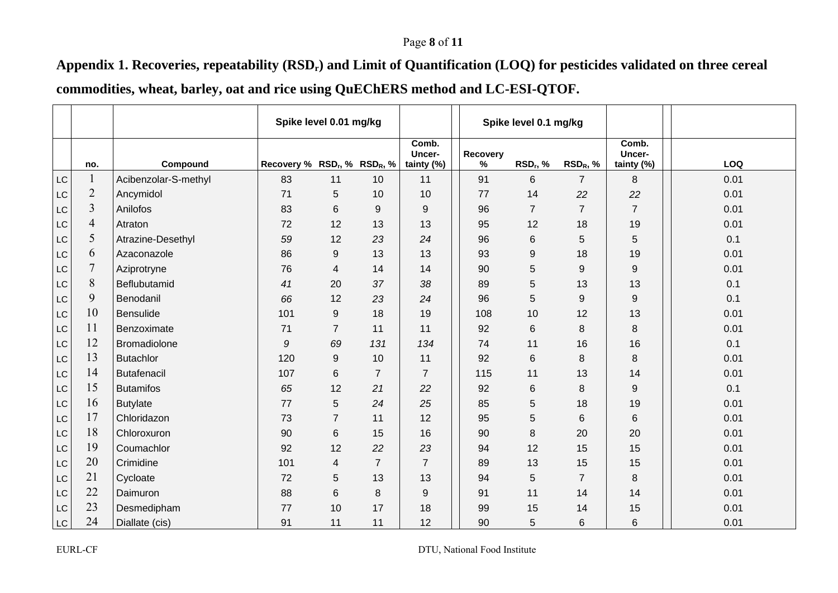## Page **8** of **11**

Appendix 1. Recoveries, repeatability (RSD<sub>r</sub>) and Limit of Quantification (LOQ) for pesticides validated on three cereal **commodities, wheat, barley, oat and rice using QuEChERS method and LC-ESI-QTOF.** 

|                        |                |                      | Spike level 0.01 mg/kg             |                |                |                               | Spike level 0.1 mg/kg |                      |                |                               |      |
|------------------------|----------------|----------------------|------------------------------------|----------------|----------------|-------------------------------|-----------------------|----------------------|----------------|-------------------------------|------|
|                        |                | Compound             | Recovery % $RSD_r$ , % $RSD_R$ , % |                |                | Comb.<br>Uncer-<br>tainty (%) | Recovery<br>$\%$      | RSD <sub>r</sub> , % | $RSD_R, %$     | Comb.<br>Uncer-<br>tainty (%) | LOQ  |
| $\mathsf{L}\mathsf{C}$ | no.<br>1       | Acibenzolar-S-methyl | 83                                 | 11             | 10             | 11                            | 91                    | 6                    | $\overline{7}$ | 8                             | 0.01 |
|                        | $\overline{2}$ | Ancymidol            | 71                                 |                | 10             | 10                            | 77                    | 14                   | 22             |                               |      |
| $\mathsf{LC}$          | $\overline{3}$ |                      |                                    | 5              |                |                               |                       |                      |                | 22                            | 0.01 |
| $\mathsf{LC}$          |                | Anilofos             | 83                                 | 6              | 9              | 9                             | 96                    | $\overline{7}$       | $\overline{7}$ | $\overline{7}$                | 0.01 |
| LC                     | $\overline{4}$ | Atraton              | 72                                 | 12             | 13             | 13                            | 95                    | 12                   | 18             | 19                            | 0.01 |
| LC                     | 5              | Atrazine-Desethyl    | 59                                 | 12             | 23             | 24                            | 96                    | $\,6$                | 5              | 5                             | 0.1  |
| LC                     | 6              | Azaconazole          | 86                                 | 9              | 13             | 13                            | 93                    | 9                    | 18             | 19                            | 0.01 |
| $\mathsf{LC}$          | $\tau$         | Aziprotryne          | 76                                 | 4              | 14             | 14                            | 90                    | $\mathbf 5$          | 9              | 9                             | 0.01 |
| LC                     | 8              | Beflubutamid         | 41                                 | 20             | 37             | 38                            | 89                    | 5                    | 13             | 13                            | 0.1  |
| LC                     | 9              | Benodanil            | 66                                 | 12             | 23             | 24                            | 96                    | 5                    | 9              | 9                             | 0.1  |
| LC                     | 10             | <b>Bensulide</b>     | 101                                | 9              | 18             | 19                            | 108                   | 10                   | 12             | 13                            | 0.01 |
| LC                     | 11             | Benzoximate          | 71                                 | 7              | 11             | 11                            | 92                    | 6                    | 8              | 8                             | 0.01 |
| LC                     | 12             | <b>Bromadiolone</b>  | 9                                  | 69             | 131            | 134                           | 74                    | 11                   | 16             | 16                            | 0.1  |
| LC                     | 13             | <b>Butachlor</b>     | 120                                | 9              | 10             | 11                            | 92                    | $\,6$                | 8              | 8                             | 0.01 |
| LC                     | 14             | <b>Butafenacil</b>   | 107                                | 6              | $\overline{7}$ | $\overline{7}$                | 115                   | 11                   | 13             | 14                            | 0.01 |
| LC                     | 15             | <b>Butamifos</b>     | 65                                 | 12             | 21             | 22                            | 92                    | $\,6$                | 8              | 9                             | 0.1  |
| LC                     | 16             | <b>Butylate</b>      | 77                                 | 5              | 24             | 25                            | 85                    | 5                    | 18             | 19                            | 0.01 |
| LC                     | 17             | Chloridazon          | 73                                 | $\overline{7}$ | 11             | 12                            | 95                    | 5                    | $6\phantom{1}$ | 6                             | 0.01 |
| LC                     | 18             | Chloroxuron          | 90                                 | 6              | 15             | 16                            | 90                    | 8                    | 20             | 20                            | 0.01 |
| LC                     | 19             | Coumachlor           | 92                                 | 12             | 22             | 23                            | 94                    | 12                   | 15             | 15                            | 0.01 |
| LC                     | 20             | Crimidine            | 101                                | 4              | $\overline{7}$ | $\overline{7}$                | 89                    | 13                   | 15             | 15                            | 0.01 |
| LC                     | 21             | Cycloate             | 72                                 | $\mathbf 5$    | 13             | 13                            | 94                    | $\mathbf 5$          | $\overline{7}$ | 8                             | 0.01 |
| LC                     | 22             | Daimuron             | 88                                 | 6              | 8              | 9                             | 91                    | 11                   | 14             | 14                            | 0.01 |
| LC                     | 23             | Desmedipham          | 77                                 | 10             | 17             | 18                            | 99                    | 15                   | 14             | 15                            | 0.01 |
| LC                     | 24             | Diallate (cis)       | 91                                 | 11             | 11             | 12                            | 90                    | $\mathbf 5$          | 6              | 6                             | 0.01 |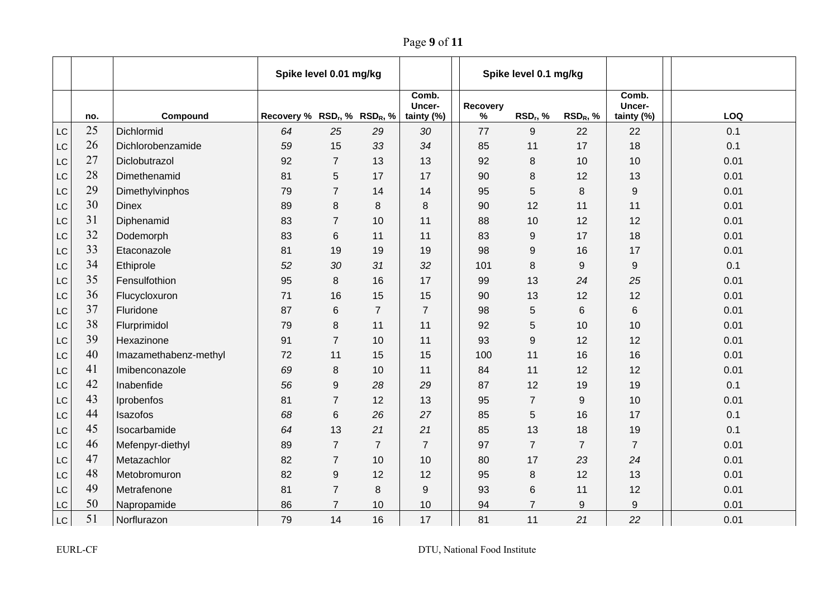Page **9** of **11**

|           |     |                       | Spike level 0.01 mg/kg                               |                |                |                               | Spike level 0.1 mg/kg |                  |                      |                               |      |
|-----------|-----|-----------------------|------------------------------------------------------|----------------|----------------|-------------------------------|-----------------------|------------------|----------------------|-------------------------------|------|
|           | no. | Compound              | Recovery % RSD <sub>r</sub> , % RSD <sub>R</sub> , % |                |                | Comb.<br>Uncer-<br>tainty (%) | Recovery<br>$\%$      | $RSD_r$ , %      | RSD <sub>R</sub> , % | Comb.<br>Uncer-<br>tainty (%) | LOQ  |
| LC        | 25  | Dichlormid            | 64                                                   | 25             | 29             | 30                            | 77                    | $\boldsymbol{9}$ | 22                   | 22                            | 0.1  |
| LC        | 26  | Dichlorobenzamide     | 59                                                   | 15             | 33             | 34                            | 85                    | 11               | 17                   | 18                            | 0.1  |
| LC        | 27  | Diclobutrazol         | 92                                                   | $\overline{7}$ | 13             | 13                            | 92                    | 8                | 10                   | 10                            | 0.01 |
| LC        | 28  | Dimethenamid          | 81                                                   | 5              | 17             | 17                            | 90                    | 8                | 12                   | 13                            | 0.01 |
| LC        | 29  | Dimethylvinphos       | 79                                                   | $\overline{7}$ | 14             | 14                            | 95                    | 5                | 8                    | 9                             | 0.01 |
| LC        | 30  | <b>Dinex</b>          | 89                                                   | 8              | 8              | 8                             | 90                    | 12               | 11                   | 11                            | 0.01 |
| LC        | 31  | Diphenamid            | 83                                                   | $\overline{7}$ | 10             | 11                            | 88                    | 10               | 12                   | 12                            | 0.01 |
| LC        | 32  | Dodemorph             | 83                                                   | 6              | 11             | 11                            | 83                    | 9                | 17                   | 18                            | 0.01 |
| LC        | 33  | Etaconazole           | 81                                                   | 19             | 19             | 19                            | 98                    | 9                | 16                   | 17                            | 0.01 |
| LC        | 34  | Ethiprole             | 52                                                   | 30             | 31             | 32                            | 101                   | 8                | 9                    | 9                             | 0.1  |
| LC        | 35  | Fensulfothion         | 95                                                   | 8              | 16             | 17                            | 99                    | 13               | 24                   | 25                            | 0.01 |
| LC        | 36  | Flucycloxuron         | 71                                                   | 16             | 15             | 15                            | 90                    | 13               | 12                   | 12                            | 0.01 |
| LC        | 37  | Fluridone             | 87                                                   | 6              | $\overline{7}$ | $\overline{7}$                | 98                    | 5                | 6                    | 6                             | 0.01 |
| LC        | 38  | Flurprimidol          | 79                                                   | 8              | 11             | 11                            | 92                    | 5                | 10                   | 10                            | 0.01 |
| LC        | 39  | Hexazinone            | 91                                                   | $\overline{7}$ | 10             | 11                            | 93                    | 9                | 12                   | 12                            | 0.01 |
| LC        | 40  | Imazamethabenz-methyl | 72                                                   | 11             | 15             | 15                            | 100                   | 11               | 16                   | 16                            | 0.01 |
| LC        | 41  | Imibenconazole        | 69                                                   | 8              | 10             | 11                            | 84                    | 11               | 12                   | 12                            | 0.01 |
| LC        | 42  | Inabenfide            | 56                                                   | 9              | 28             | 29                            | 87                    | 12               | 19                   | 19                            | 0.1  |
| LC        | 43  | Iprobenfos            | 81                                                   | $\overline{7}$ | 12             | 13                            | 95                    | $\overline{7}$   | 9                    | 10                            | 0.01 |
| LC        | 44  | Isazofos              | 68                                                   | 6              | 26             | 27                            | 85                    | 5                | 16                   | 17                            | 0.1  |
| LC        | 45  | Isocarbamide          | 64                                                   | 13             | 21             | 21                            | 85                    | 13               | 18                   | 19                            | 0.1  |
| LC        | 46  | Mefenpyr-diethyl      | 89                                                   | $\overline{7}$ | $\overline{7}$ | $\overline{7}$                | 97                    | $\overline{7}$   | $\overline{7}$       | $\overline{7}$                | 0.01 |
| LC        | 47  | Metazachlor           | 82                                                   | $\overline{7}$ | 10             | 10                            | 80                    | 17               | 23                   | 24                            | 0.01 |
| LC        | 48  | Metobromuron          | 82                                                   | 9              | 12             | 12                            | 95                    | 8                | 12                   | 13                            | 0.01 |
| LC        | 49  | Metrafenone           | 81                                                   | $\overline{7}$ | 8              | 9                             | 93                    | 6                | 11                   | 12                            | 0.01 |
| LC        | 50  | Napropamide           | 86                                                   | $\overline{7}$ | 10             | 10                            | 94                    | $\overline{7}$   | 9                    | 9                             | 0.01 |
| <b>LC</b> | 51  | Norflurazon           | 79                                                   | 14             | 16             | 17                            | 81                    | 11               | 21                   | 22                            | 0.01 |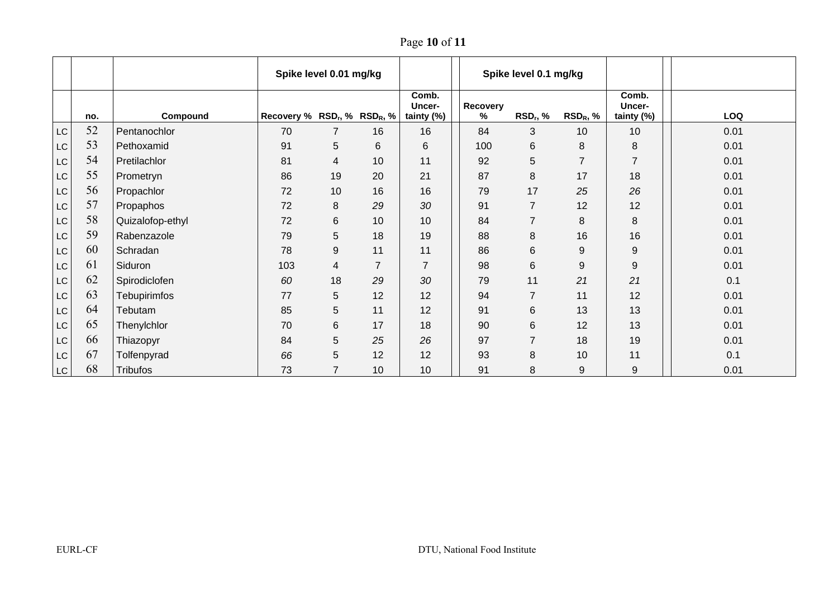Page **10** of **11**

|                        |     |                     | Spike level 0.01 mg/kg             |                |                |                               | Spike level 0.1 mg/kg |                      |                  |                               |      |
|------------------------|-----|---------------------|------------------------------------|----------------|----------------|-------------------------------|-----------------------|----------------------|------------------|-------------------------------|------|
|                        | no. | Compound            | Recovery % $RSD_r$ , % $RSD_R$ , % |                |                | Comb.<br>Uncer-<br>tainty (%) | Recovery<br>%         | RSD <sub>r</sub> , % | $RSD_R, %$       | Comb.<br>Uncer-<br>tainty (%) | LOQ  |
| LC                     | 52  | Pentanochlor        | 70                                 | 7              | 16             | 16                            | 84                    | 3                    | 10               | 10                            | 0.01 |
| LC                     | 53  | Pethoxamid          | 91                                 | 5              | 6              | 6                             | 100                   | 6                    | 8                | 8                             | 0.01 |
| LC                     | 54  | Pretilachlor        | 81                                 | 4              | 10             | 11                            | 92                    | 5                    | $\overline{7}$   | $\overline{7}$                | 0.01 |
| LC                     | 55  | Prometryn           | 86                                 | 19             | 20             | 21                            | 87                    | 8                    | 17               | 18                            | 0.01 |
| LC                     | 56  | Propachlor          | 72                                 | 10             | 16             | 16                            | 79                    | 17                   | 25               | 26                            | 0.01 |
| LC                     | 57  | Propaphos           | 72                                 | $\,8\,$        | 29             | 30                            | 91                    | $\overline{7}$       | 12               | 12                            | 0.01 |
| $\mathsf{LC}$          | 58  | Quizalofop-ethyl    | 72                                 | 6              | 10             | 10                            | 84                    | $\overline{7}$       | 8                | 8                             | 0.01 |
| LC                     | 59  | Rabenzazole         | 79                                 | $\mathbf 5$    | 18             | 19                            | 88                    | 8                    | 16               | 16                            | 0.01 |
| LC                     | 60  | Schradan            | 78                                 | 9              | 11             | 11                            | 86                    | $\,6$                | 9                | 9                             | 0.01 |
| LC                     | 61  | Siduron             | 103                                | 4              | $\overline{7}$ | $\overline{7}$                | 98                    | $6\phantom{1}$       | $\boldsymbol{9}$ | $\boldsymbol{9}$              | 0.01 |
| LC                     | 62  | Spirodiclofen       | 60                                 | 18             | 29             | 30                            | 79                    | 11                   | 21               | 21                            | 0.1  |
| <b>LC</b>              | 63  | <b>Tebupirimfos</b> | 77                                 | 5              | 12             | 12                            | 94                    | $\overline{7}$       | 11               | 12                            | 0.01 |
| LC                     | 64  | Tebutam             | 85                                 | 5              | 11             | 12                            | 91                    | 6                    | 13               | 13                            | 0.01 |
| LC                     | 65  | Thenylchlor         | 70                                 | 6              | 17             | 18                            | 90                    | $6\phantom{1}6$      | 12               | 13                            | 0.01 |
| LC                     | 66  | Thiazopyr           | 84                                 | $\mathbf 5$    | 25             | 26                            | 97                    | $\overline{7}$       | 18               | 19                            | 0.01 |
| LC                     | 67  | Tolfenpyrad         | 66                                 | 5              | 12             | 12                            | 93                    | $\,8\,$              | 10               | 11                            | 0.1  |
| $\mathsf{L}\mathsf{C}$ | 68  | <b>Tribufos</b>     | 73                                 | $\overline{7}$ | 10             | 10                            | 91                    | 8                    | 9                | 9                             | 0.01 |